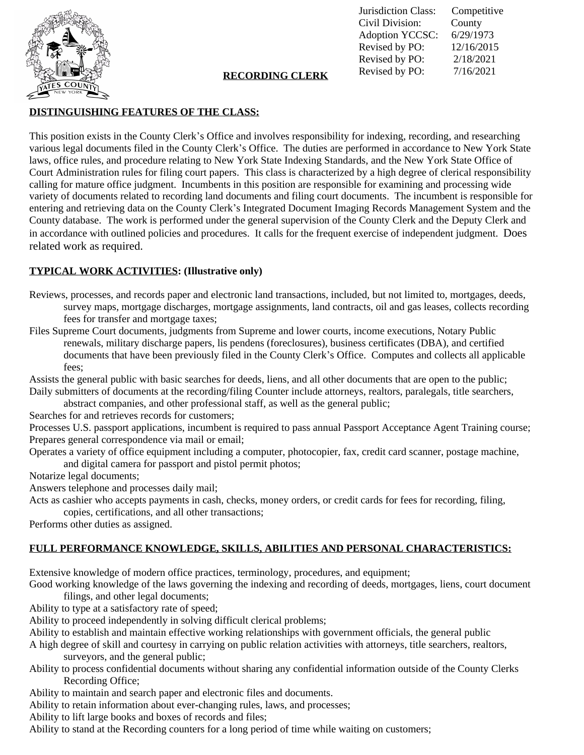

Jurisdiction Class: Competitive Civil Division: County Adoption YCCSC: 6/29/1973 Revised by PO: 12/16/2015 Revised by PO: 2/18/2021 Revised by PO: 7/16/2021 **RECORDING CLERK**

## **DISTINGUISHING FEATURES OF THE CLASS:**

This position exists in the County Clerk's Office and involves responsibility for indexing, recording, and researching various legal documents filed in the County Clerk's Office. The duties are performed in accordance to New York State laws, office rules, and procedure relating to New York State Indexing Standards, and the New York State Office of Court Administration rules for filing court papers. This class is characterized by a high degree of clerical responsibility calling for mature office judgment. Incumbents in this position are responsible for examining and processing wide variety of documents related to recording land documents and filing court documents. The incumbent is responsible for entering and retrieving data on the County Clerk's Integrated Document Imaging Records Management System and the County database. The work is performed under the general supervision of the County Clerk and the Deputy Clerk and in accordance with outlined policies and procedures. It calls for the frequent exercise of independent judgment. Does related work as required.

# **TYPICAL WORK ACTIVITIES: (Illustrative only)**

- Reviews, processes, and records paper and electronic land transactions, included, but not limited to, mortgages, deeds, survey maps, mortgage discharges, mortgage assignments, land contracts, oil and gas leases, collects recording fees for transfer and mortgage taxes;
- Files Supreme Court documents, judgments from Supreme and lower courts, income executions, Notary Public renewals, military discharge papers, lis pendens (foreclosures), business certificates (DBA), and certified documents that have been previously filed in the County Clerk's Office. Computes and collects all applicable fees;

Assists the general public with basic searches for deeds, liens, and all other documents that are open to the public; Daily submitters of documents at the recording/filing Counter include attorneys, realtors, paralegals, title searchers,

abstract companies, and other professional staff, as well as the general public;

Searches for and retrieves records for customers;

Processes U.S. passport applications, incumbent is required to pass annual Passport Acceptance Agent Training course; Prepares general correspondence via mail or email;

Operates a variety of office equipment including a computer, photocopier, fax, credit card scanner, postage machine,

and digital camera for passport and pistol permit photos;

Notarize legal documents;

Answers telephone and processes daily mail;

Acts as cashier who accepts payments in cash, checks, money orders, or credit cards for fees for recording, filing,

copies, certifications, and all other transactions;

Performs other duties as assigned.

# **FULL PERFORMANCE KNOWLEDGE, SKILLS, ABILITIES AND PERSONAL CHARACTERISTICS:**

Extensive knowledge of modern office practices, terminology, procedures, and equipment;

Good working knowledge of the laws governing the indexing and recording of deeds, mortgages, liens, court document filings, and other legal documents;

Ability to type at a satisfactory rate of speed;

Ability to proceed independently in solving difficult clerical problems;

Ability to establish and maintain effective working relationships with government officials, the general public

A high degree of skill and courtesy in carrying on public relation activities with attorneys, title searchers, realtors, surveyors, and the general public;

Ability to process confidential documents without sharing any confidential information outside of the County Clerks Recording Office;

Ability to maintain and search paper and electronic files and documents.

Ability to retain information about ever-changing rules, laws, and processes;

Ability to lift large books and boxes of records and files;

Ability to stand at the Recording counters for a long period of time while waiting on customers;